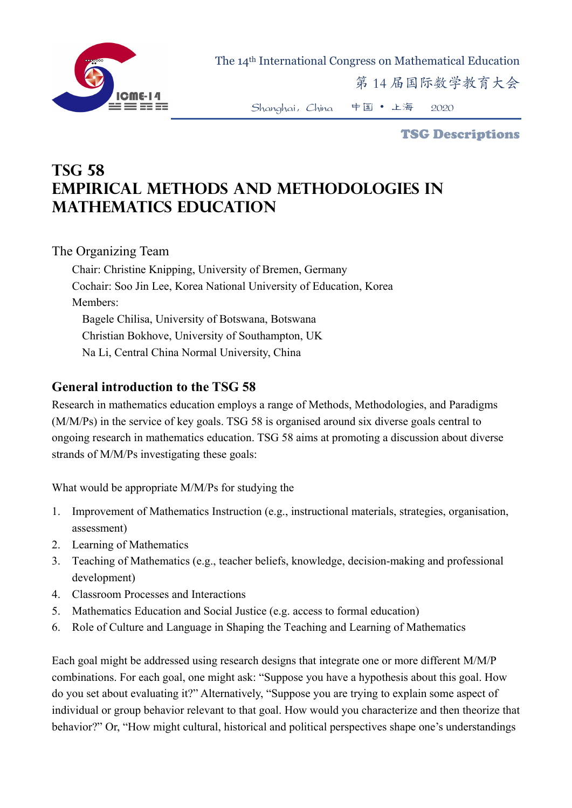

The 14th International Congress on Mathematical Education

第 14 届国际数学教育大会

Shanghai,China 中国 • 上海 2020

TSG Descriptions

# **TSG 58 Empirical Methods and Methodologies in Mathematics Education**

#### The Organizing Team

Chair: Christine Knipping, University of Bremen, Germany Cochair: Soo Jin Lee, Korea National University of Education, Korea Members: Bagele Chilisa, University of Botswana, Botswana Christian Bokhove, University of Southampton, UK Na Li, Central China Normal University, China

#### **General introduction to the TSG 58**

Research in mathematics education employs a range of Methods, Methodologies, and Paradigms (M/M/Ps) in the service of key goals. TSG 58 is organised around six diverse goals central to ongoing research in mathematics education. TSG 58 aims at promoting a discussion about diverse strands of M/M/Ps investigating these goals:

What would be appropriate M/M/Ps for studying the

- 1. Improvement of Mathematics Instruction (e.g., instructional materials, strategies, organisation, assessment)
- 2. Learning of Mathematics
- 3. Teaching of Mathematics (e.g., teacher beliefs, knowledge, decision-making and professional development)
- 4. Classroom Processes and Interactions
- 5. Mathematics Education and Social Justice (e.g. access to formal education)
- 6. Role of Culture and Language in Shaping the Teaching and Learning of Mathematics

Each goal might be addressed using research designs that integrate one or more different M/M/P combinations. For each goal, one might ask: "Suppose you have a hypothesis about this goal. How do you set about evaluating it?" Alternatively, "Suppose you are trying to explain some aspect of individual or group behavior relevant to that goal. How would you characterize and then theorize that behavior?" Or, "How might cultural, historical and political perspectives shape one's understandings